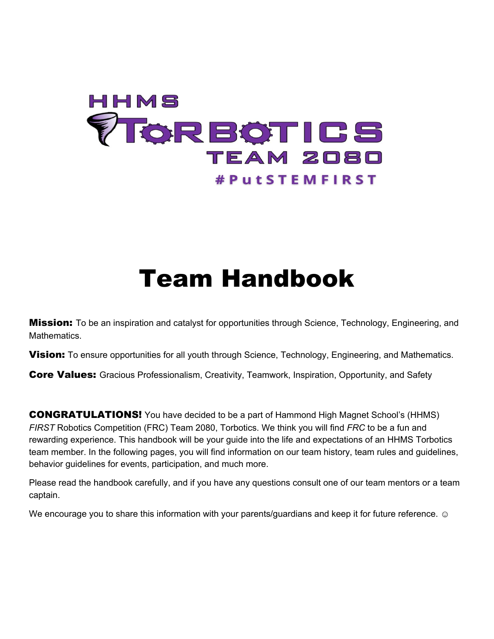# HHMS **TORBOTICS** TEAM 2080 **#PutSTEMFIRST**

# Team Handbook

**Mission:** To be an inspiration and catalyst for opportunities through Science, Technology, Engineering, and Mathematics.

**Vision:** To ensure opportunities for all youth through Science, Technology, Engineering, and Mathematics.

**Core Values:** Gracious Professionalism, Creativity, Teamwork, Inspiration, Opportunity, and Safety

CONGRATULATIONS! You have decided to be a part of Hammond High Magnet School's (HHMS) *FIRST* Robotics Competition (FRC) Team 2080, Torbotics. We think you will find *FRC* to be a fun and rewarding experience. This handbook will be your guide into the life and expectations of an HHMS Torbotics team member. In the following pages, you will find information on our team history, team rules and guidelines, behavior guidelines for events, participation, and much more.

Please read the handbook carefully, and if you have any questions consult one of our team mentors or a team captain.

We encourage you to share this information with your parents/guardians and keep it for future reference. ☺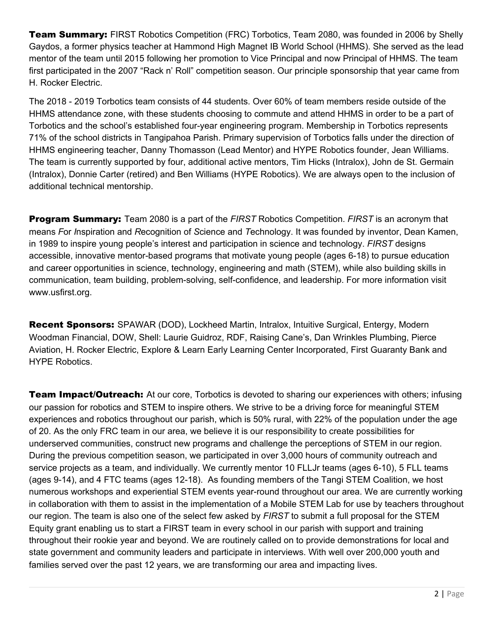**Team Summary:** FIRST Robotics Competition (FRC) Torbotics, Team 2080, was founded in 2006 by Shelly Gaydos, a former physics teacher at Hammond High Magnet IB World School (HHMS). She served as the lead mentor of the team until 2015 following her promotion to Vice Principal and now Principal of HHMS. The team first participated in the 2007 "Rack n' Roll" competition season. Our principle sponsorship that year came from H. Rocker Electric.

The 2018 - 2019 Torbotics team consists of 44 students. Over 60% of team members reside outside of the HHMS attendance zone, with these students choosing to commute and attend HHMS in order to be a part of Torbotics and the school's established four-year engineering program. Membership in Torbotics represents 71% of the school districts in Tangipahoa Parish. Primary supervision of Torbotics falls under the direction of HHMS engineering teacher, Danny Thomasson (Lead Mentor) and HYPE Robotics founder, Jean Williams. The team is currently supported by four, additional active mentors, Tim Hicks (Intralox), John de St. Germain (Intralox), Donnie Carter (retired) and Ben Williams (HYPE Robotics). We are always open to the inclusion of additional technical mentorship.

Program Summary: Team 2080 is a part of the *FIRST* Robotics Competition. *FIRST* is an acronym that means *F*or *I*nspiration and *R*ecognition of *S*cience and *T*echnology. It was founded by inventor, Dean Kamen, in 1989 to inspire young people's interest and participation in science and technology. *FIRST* designs accessible, innovative mentor-based programs that motivate young people (ages 6-18) to pursue education and career opportunities in science, technology, engineering and math (STEM), while also building skills in communication, team building, problem-solving, self-confidence, and leadership. For more information visit www.usfirst.org.

Recent Sponsors: SPAWAR (DOD), Lockheed Martin, Intralox, Intuitive Surgical, Entergy, Modern Woodman Financial, DOW, Shell: Laurie Guidroz, RDF, Raising Cane's, Dan Wrinkles Plumbing, Pierce Aviation, H. Rocker Electric, Explore & Learn Early Learning Center Incorporated, First Guaranty Bank and HYPE Robotics.

**Team Impact/Outreach:** At our core, Torbotics is devoted to sharing our experiences with others; infusing our passion for robotics and STEM to inspire others. We strive to be a driving force for meaningful STEM experiences and robotics throughout our parish, which is 50% rural, with 22% of the population under the age of 20. As the only FRC team in our area, we believe it is our responsibility to create possibilities for underserved communities, construct new programs and challenge the perceptions of STEM in our region. During the previous competition season, we participated in over 3,000 hours of community outreach and service projects as a team, and individually. We currently mentor 10 FLLJr teams (ages 6-10), 5 FLL teams (ages 9-14), and 4 FTC teams (ages 12-18). As founding members of the Tangi STEM Coalition, we host numerous workshops and experiential STEM events year-round throughout our area. We are currently working in collaboration with them to assist in the implementation of a Mobile STEM Lab for use by teachers throughout our region. The team is also one of the select few asked by *FIRST* to submit a full proposal for the STEM Equity grant enabling us to start a FIRST team in every school in our parish with support and training throughout their rookie year and beyond. We are routinely called on to provide demonstrations for local and state government and community leaders and participate in interviews. With well over 200,000 youth and families served over the past 12 years, we are transforming our area and impacting lives.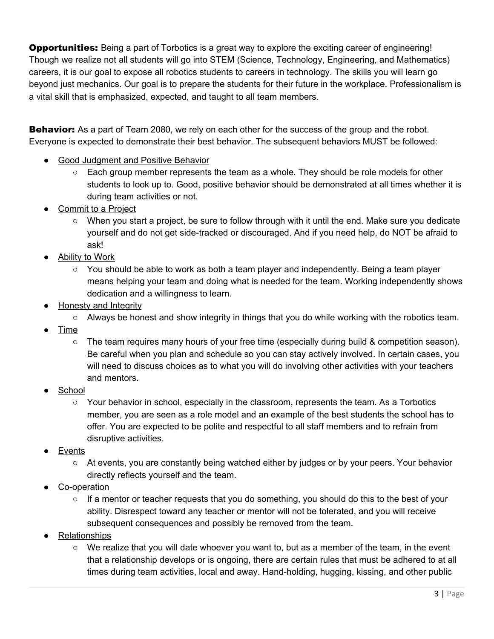**Opportunities:** Being a part of Torbotics is a great way to explore the exciting career of engineering! Though we realize not all students will go into STEM (Science, Technology, Engineering, and Mathematics) careers, it is our goal to expose all robotics students to careers in technology. The skills you will learn go beyond just mechanics. Our goal is to prepare the students for their future in the workplace. Professionalism is a vital skill that is emphasized, expected, and taught to all team members.

**Behavior:** As a part of Team 2080, we rely on each other for the success of the group and the robot. Everyone is expected to demonstrate their best behavior. The subsequent behaviors MUST be followed:

- Good Judgment and Positive Behavior
	- $\circ$  Each group member represents the team as a whole. They should be role models for other students to look up to. Good, positive behavior should be demonstrated at all times whether it is during team activities or not.
- **Commit to a Project** 
	- When you start a project, be sure to follow through with it until the end. Make sure you dedicate yourself and do not get side-tracked or discouraged. And if you need help, do NOT be afraid to ask!
- Ability to Work
	- $\circ$  You should be able to work as both a team player and independently. Being a team player means helping your team and doing what is needed for the team. Working independently shows dedication and a willingness to learn.
- **Honesty and Integrity** 
	- $\circ$  Always be honest and show integrity in things that you do while working with the robotics team.
- **Time** 
	- The team requires many hours of your free time (especially during build & competition season). Be careful when you plan and schedule so you can stay actively involved. In certain cases, you will need to discuss choices as to what you will do involving other activities with your teachers and mentors.
- School
	- Your behavior in school, especially in the classroom, represents the team. As a Torbotics member, you are seen as a role model and an example of the best students the school has to offer. You are expected to be polite and respectful to all staff members and to refrain from disruptive activities.
- **Events** 
	- At events, you are constantly being watched either by judges or by your peers. Your behavior directly reflects yourself and the team.
- Co-operation
	- $\circ$  If a mentor or teacher requests that you do something, you should do this to the best of your ability. Disrespect toward any teacher or mentor will not be tolerated, and you will receive subsequent consequences and possibly be removed from the team.
- **Relationships** 
	- $\circ$  We realize that you will date whoever you want to, but as a member of the team, in the event that a relationship develops or is ongoing, there are certain rules that must be adhered to at all times during team activities, local and away. Hand-holding, hugging, kissing, and other public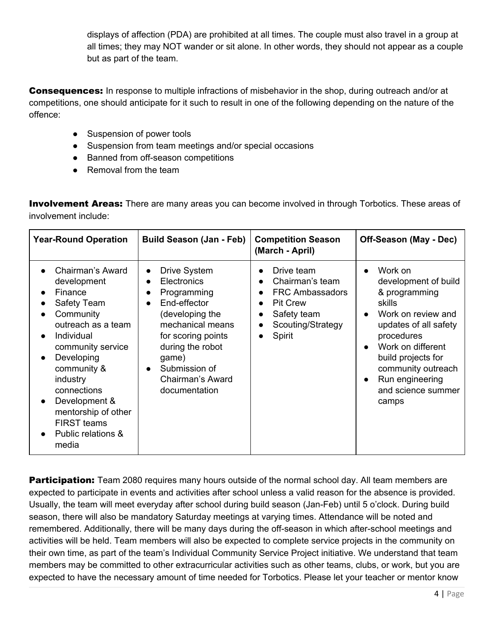displays of affection (PDA) are prohibited at all times. The couple must also travel in a group at all times; they may NOT wander or sit alone. In other words, they should not appear as a couple but as part of the team.

**Consequences:** In response to multiple infractions of misbehavior in the shop, during outreach and/or at competitions, one should anticipate for it such to result in one of the following depending on the nature of the offence:

- Suspension of power tools
- Suspension from team meetings and/or special occasions
- Banned from off-season competitions
- Removal from the team

**Involvement Areas:** There are many areas you can become involved in through Torbotics. These areas of involvement include:

| <b>Year-Round Operation</b>                                                                                                                                                                                                                                                                                    | <b>Build Season (Jan - Feb)</b>                                                                                                                                                                                                                                | <b>Competition Season</b><br>(March - April)                                                                                                                                                                        | Off-Season (May - Dec)                                                                                                                                                                                                                                                                         |
|----------------------------------------------------------------------------------------------------------------------------------------------------------------------------------------------------------------------------------------------------------------------------------------------------------------|----------------------------------------------------------------------------------------------------------------------------------------------------------------------------------------------------------------------------------------------------------------|---------------------------------------------------------------------------------------------------------------------------------------------------------------------------------------------------------------------|------------------------------------------------------------------------------------------------------------------------------------------------------------------------------------------------------------------------------------------------------------------------------------------------|
| Chairman's Award<br>development<br>Finance<br>Safety Team<br>Community<br>outreach as a team<br>Individual<br>community service<br>Developing<br>$\bullet$<br>community &<br>industry<br>connections<br>Development &<br>$\bullet$<br>mentorship of other<br><b>FIRST teams</b><br>Public relations &<br>media | Drive System<br>$\bullet$<br>Electronics<br>$\bullet$<br>Programming<br>$\bullet$<br>End-effector<br>$\bullet$<br>(developing the<br>mechanical means<br>for scoring points<br>during the robot<br>game)<br>Submission of<br>Chairman's Award<br>documentation | Drive team<br>$\bullet$<br>Chairman's team<br>$\bullet$<br><b>FRC Ambassadors</b><br>$\bullet$<br><b>Pit Crew</b><br>$\bullet$<br>Safety team<br>$\bullet$<br>Scouting/Strategy<br>$\bullet$<br>Spirit<br>$\bullet$ | Work on<br>$\bullet$<br>development of build<br>& programming<br>skills<br>Work on review and<br>$\bullet$<br>updates of all safety<br>procedures<br>Work on different<br>$\bullet$<br>build projects for<br>community outreach<br>Run engineering<br>$\bullet$<br>and science summer<br>camps |

**Participation:** Team 2080 requires many hours outside of the normal school day. All team members are expected to participate in events and activities after school unless a valid reason for the absence is provided. Usually, the team will meet everyday after school during build season (Jan-Feb) until 5 o'clock. During build season, there will also be mandatory Saturday meetings at varying times. Attendance will be noted and remembered. Additionally, there will be many days during the off-season in which after-school meetings and activities will be held. Team members will also be expected to complete service projects in the community on their own time, as part of the team's Individual Community Service Project initiative. We understand that team members may be committed to other extracurricular activities such as other teams, clubs, or work, but you are expected to have the necessary amount of time needed for Torbotics. Please let your teacher or mentor know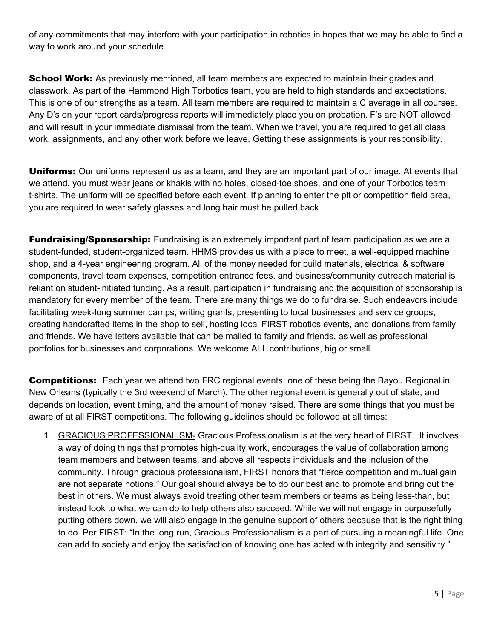of any commitments that may interfere with your participation in robotics in hopes that we may be able to find a way to work around your schedule.

**School Work:** As previously mentioned, all team members are expected to maintain their grades and classwork. As part of the Hammond High Torbotics team, you are held to high standards and expectations. This is one of our strengths as a team. All team members are required to maintain a C average in all courses. Any D's on your report cards/progress reports will immediately place you on probation. F's are NOT allowed and will result in your immediate dismissal from the team. When we travel, you are required to get all class work, assignments, and any other work before we leave. Getting these assignments is your responsibility.

**Uniforms:** Our uniforms represent us as a team, and they are an important part of our image. At events that we attend, you must wear jeans or khakis with no holes, closed-toe shoes, and one of your Torbotics team t-shirts. The uniform will be specified before each event. If planning to enter the pit or competition field area, you are required to wear safety glasses and long hair must be pulled back.

**Fundraising/Sponsorship:** Fundraising is an extremely important part of team participation as we are a student-funded, student-organized team. HHMS provides us with a place to meet, a well-equipped machine shop, and a 4-year engineering program. All of the money needed for build materials, electrical & software components, travel team expenses, competition entrance fees, and business/community outreach material is reliant on student-initiated funding. As a result, participation in fundraising and the acquisition of sponsorship is mandatory for every member of the team. There are many things we do to fundraise. Such endeavors include facilitating week-long summer camps, writing grants, presenting to local businesses and service groups, creating handcrafted items in the shop to sell, hosting local FIRST robotics events, and donations from family and friends. We have letters available that can be mailed to family and friends, as well as professional portfolios for businesses and corporations. We welcome ALL contributions, big or small.

**Competitions:** Each year we attend two FRC regional events, one of these being the Bayou Regional in New Orleans (typically the 3rd weekend of March). The other regional event is generally out of state, and depends on location, event timing, and the amount of money raised. There are some things that you must be aware of at all FIRST competitions. The following guidelines should be followed at all times:

1. GRACIOUS PROFESSIONALISM- Gracious Professionalism is at the very heart of FIRST. It involves a way of doing things that promotes high-quality work, encourages the value of collaboration among team members and between teams, and above all respects individuals and the inclusion of the community. Through gracious professionalism, FIRST honors that "fierce competition and mutual gain are not separate notions." Our goal should always be to do our best and to promote and bring out the best in others. We must always avoid treating other team members or teams as being less-than, but instead look to what we can do to help others also succeed. While we will not engage in purposefully putting others down, we will also engage in the genuine support of others because that is the right thing to do. Per FIRST: "In the long run, Gracious Professionalism is a part of pursuing a meaningful life. One can add to society and enjoy the satisfaction of knowing one has acted with integrity and sensitivity."